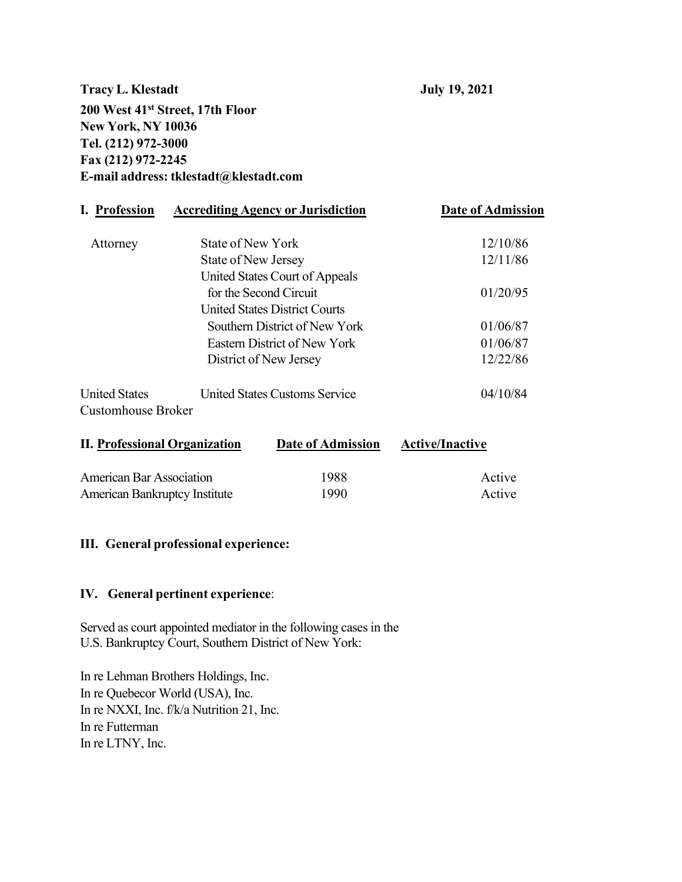**Tracy L. Klestadt July 19, 2021 200 West 41st Street, 17th Floor New York, NY 10036 Tel. (212) 972-3000 Fax (212) 972-2245 E-mail address: [tklestadt@klestadt.com](mailto:tklestadt@klestadt.com)**

| I. Profession                                                                      | <b>Accrediting Agency or Jurisdiction</b> | <b>Date of Admission</b> |
|------------------------------------------------------------------------------------|-------------------------------------------|--------------------------|
| Attorney                                                                           | State of New York                         | 12/10/86                 |
|                                                                                    | State of New Jersey                       | 12/11/86                 |
|                                                                                    | United States Court of Appeals            |                          |
|                                                                                    | for the Second Circuit                    | 01/20/95                 |
|                                                                                    | <b>United States District Courts</b>      |                          |
|                                                                                    | Southern District of New York             | 01/06/87                 |
| Eastern District of New York<br>District of New Jersey                             |                                           | 01/06/87                 |
|                                                                                    |                                           | 12/22/86                 |
| <b>United States</b><br><b>United States Customs Service</b><br>Customhouse Broker |                                           | 04/10/84                 |
| <b>II. Professional Organization</b>                                               | Date of Admission                         | <b>Active/Inactive</b>   |

| <b>American Bar Association</b>      | 1988 | Active |
|--------------------------------------|------|--------|
| <b>American Bankruptcy Institute</b> | 1990 | Active |

#### **III. General professional experience:**

## **IV. General pertinent experience**:

Served as court appointed mediator in the following cases in the U.S. Bankruptcy Court, Southern District of New York:

In re Lehman Brothers Holdings, Inc. In re Quebecor World (USA), Inc. In re NXXI, Inc. f/k/a Nutrition 21, Inc. In re Futterman In re LTNY, Inc.